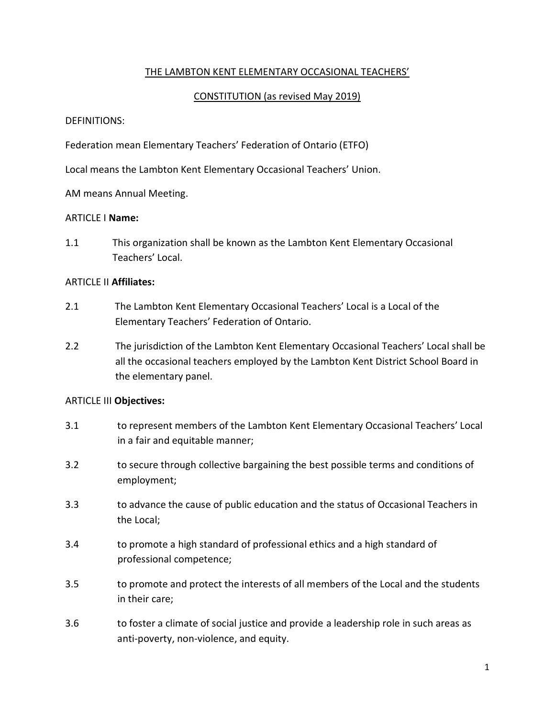### THE LAMBTON KENT ELEMENTARY OCCASIONAL TEACHERS'

### CONSTITUTION (as revised May 2019)

#### DEFINITIONS:

Federation mean Elementary Teachers' Federation of Ontario (ETFO)

Local means the Lambton Kent Elementary Occasional Teachers' Union.

AM means Annual Meeting.

#### ARTICLE I **Name:**

1.1 This organization shall be known as the Lambton Kent Elementary Occasional Teachers' Local.

# ARTICLE II **Affiliates:**

- 2.1 The Lambton Kent Elementary Occasional Teachers' Local is a Local of the Elementary Teachers' Federation of Ontario.
- 2.2 The jurisdiction of the Lambton Kent Elementary Occasional Teachers' Local shall be all the occasional teachers employed by the Lambton Kent District School Board in the elementary panel.

# ARTICLE III **Objectives:**

- 3.1 to represent members of the Lambton Kent Elementary Occasional Teachers' Local in a fair and equitable manner;
- 3.2 to secure through collective bargaining the best possible terms and conditions of employment;
- 3.3 to advance the cause of public education and the status of Occasional Teachers in the Local;
- 3.4 to promote a high standard of professional ethics and a high standard of professional competence;
- 3.5 to promote and protect the interests of all members of the Local and the students in their care;
- 3.6 to foster a climate of social justice and provide a leadership role in such areas as anti-poverty, non-violence, and equity.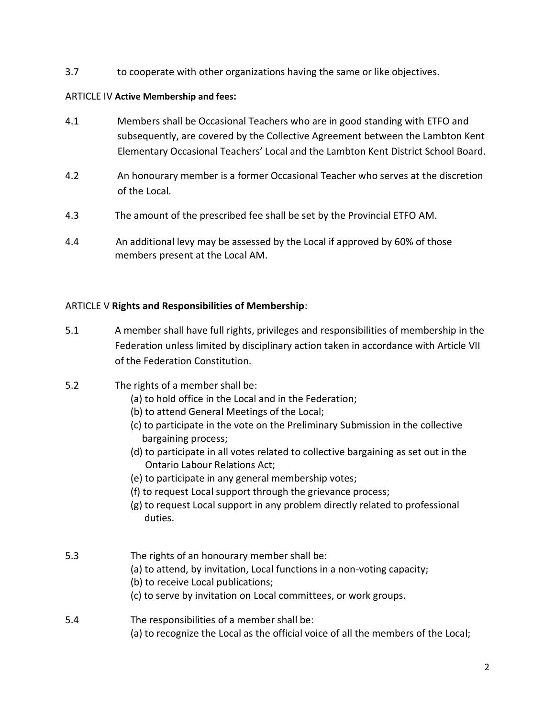3.7 to cooperate with other organizations having the same or like objectives.

# ARTICLE IV **Active Membership and fees:**

- 4.1 Members shall be Occasional Teachers who are in good standing with ETFO and subsequently, are covered by the Collective Agreement between the Lambton Kent Elementary Occasional Teachers' Local and the Lambton Kent District School Board.
- 4.2 An honourary member is a former Occasional Teacher who serves at the discretion of the Local.
- 4.3 The amount of the prescribed fee shall be set by the Provincial ETFO AM.
- 4.4 An additional levy may be assessed by the Local if approved by 60% of those members present at the Local AM.

# ARTICLE V **Rights and Responsibilities of Membership**:

- 5.1 A member shall have full rights, privileges and responsibilities of membership in the Federation unless limited by disciplinary action taken in accordance with Article VII of the Federation Constitution.
- 5.2 The rights of a member shall be:
	- (a) to hold office in the Local and in the Federation;
	- (b) to attend General Meetings of the Local;
	- (c) to participate in the vote on the Preliminary Submission in the collective bargaining process;
	- (d) to participate in all votes related to collective bargaining as set out in the Ontario Labour Relations Act;
	- (e) to participate in any general membership votes;
	- (f) to request Local support through the grievance process;
	- (g) to request Local support in any problem directly related to professional duties.
- 5.3 The rights of an honourary member shall be:
	- (a) to attend, by invitation, Local functions in a non-voting capacity;
	- (b) to receive Local publications;
	- (c) to serve by invitation on Local committees, or work groups.

# 5.4 The responsibilities of a member shall be: (a) to recognize the Local as the official voice of all the members of the Local;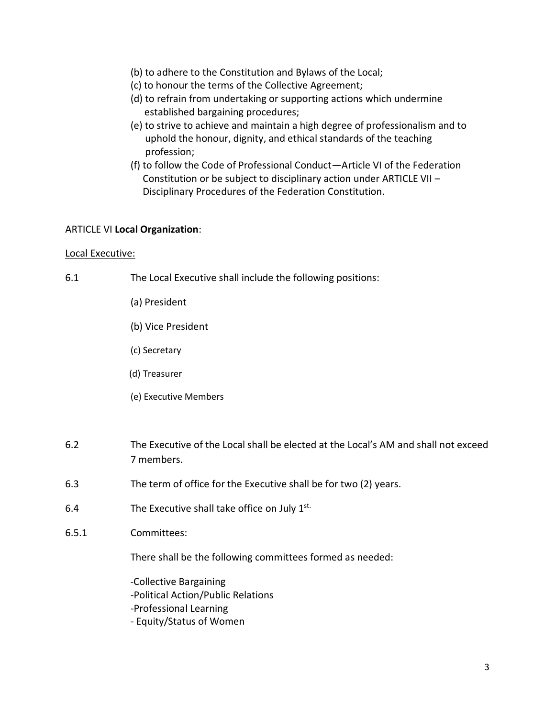- (b) to adhere to the Constitution and Bylaws of the Local;
- (c) to honour the terms of the Collective Agreement;
- (d) to refrain from undertaking or supporting actions which undermine established bargaining procedures;
- (e) to strive to achieve and maintain a high degree of professionalism and to uphold the honour, dignity, and ethical standards of the teaching profession;
- (f) to follow the Code of Professional Conduct—Article VI of the Federation Constitution or be subject to disciplinary action under ARTICLE VII – Disciplinary Procedures of the Federation Constitution.

#### ARTICLE VI **Local Organization**:

#### Local Executive:

- 6.1 The Local Executive shall include the following positions:
	- (a) President
	- (b) Vice President
	- (c) Secretary
	- (d) Treasurer
	- (e) Executive Members
- 6.2 The Executive of the Local shall be elected at the Local's AM and shall not exceed 7 members.
- 6.3 The term of office for the Executive shall be for two (2) years.
- 6.4 The Executive shall take office on July 1st.
- 6.5.1 Committees:

There shall be the following committees formed as needed:

-Collective Bargaining -Political Action/Public Relations -Professional Learning - Equity/Status of Women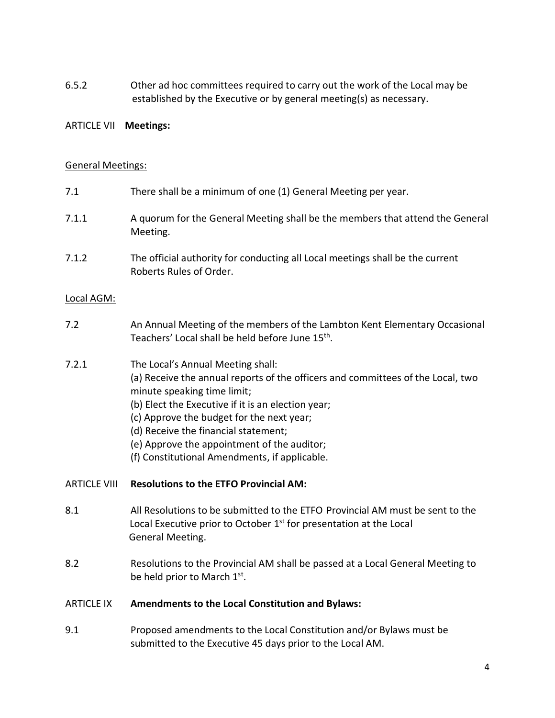6.5.2 Other ad hoc committees required to carry out the work of the Local may be established by the Executive or by general meeting(s) as necessary.

#### ARTICLE VII **Meetings:**

#### General Meetings:

- 7.1 There shall be a minimum of one (1) General Meeting per year. 7.1.1 A quorum for the General Meeting shall be the members that attend the General Meeting.
- 7.1.2 The official authority for conducting all Local meetings shall be the current Roberts Rules of Order.

#### Local AGM:

- 7.2 An Annual Meeting of the members of the Lambton Kent Elementary Occasional Teachers' Local shall be held before June 15<sup>th</sup>.
- 7.2.1 The Local's Annual Meeting shall: (a) Receive the annual reports of the officers and committees of the Local, two
	- minute speaking time limit;
	- (b) Elect the Executive if it is an election year;
	- (c) Approve the budget for the next year;
	- (d) Receive the financial statement;
	- (e) Approve the appointment of the auditor;
	- (f) Constitutional Amendments, if applicable.

#### ARTICLE VIII **Resolutions to the ETFO Provincial AM:**

- 8.1 All Resolutions to be submitted to the ETFO Provincial AM must be sent to the Local Executive prior to October  $1<sup>st</sup>$  for presentation at the Local General Meeting.
- 8.2 Resolutions to the Provincial AM shall be passed at a Local General Meeting to be held prior to March 1st.

#### ARTICLE IX **Amendments to the Local Constitution and Bylaws:**

9.1 Proposed amendments to the Local Constitution and/or Bylaws must be submitted to the Executive 45 days prior to the Local AM.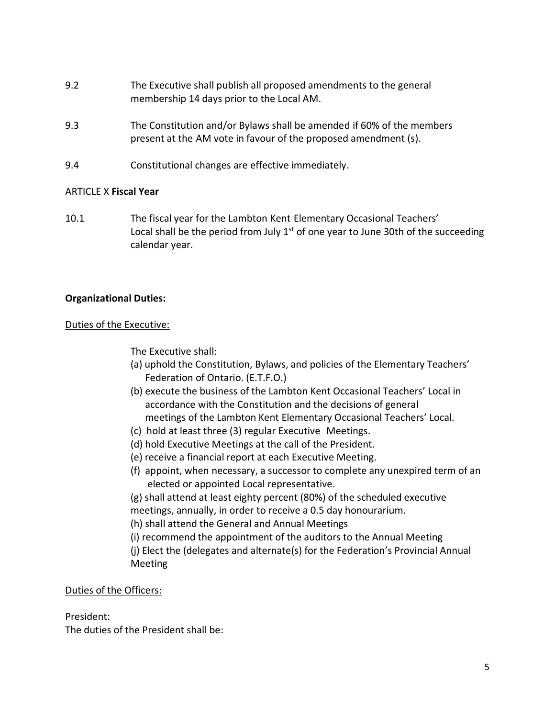- 9.2 The Executive shall publish all proposed amendments to the general membership 14 days prior to the Local AM.
- 9.3 The Constitution and/or Bylaws shall be amended if 60% of the members present at the AM vote in favour of the proposed amendment (s).
- 9.4 Constitutional changes are effective immediately.

### ARTICLE X **Fiscal Year**

10.1 The fiscal year for the Lambton Kent Elementary Occasional Teachers' Local shall be the period from July  $1<sup>st</sup>$  of one year to June 30th of the succeeding calendar year.

### **Organizational Duties:**

#### Duties of the Executive:

The Executive shall:

- (a) uphold the Constitution, Bylaws, and policies of the Elementary Teachers' Federation of Ontario. (E.T.F.O.)
- (b) execute the business of the Lambton Kent Occasional Teachers' Local in accordance with the Constitution and the decisions of general meetings of the Lambton Kent Elementary Occasional Teachers' Local.
- (c) hold at least three (3) regular Executive Meetings.
- (d) hold Executive Meetings at the call of the President.
- (e) receive a financial report at each Executive Meeting.
- (f) appoint, when necessary, a successor to complete any unexpired term of an elected or appointed Local representative.
- (g) shall attend at least eighty percent (80%) of the scheduled executive meetings, annually, in order to receive a 0.5 day honourarium.
- (h) shall attend the General and Annual Meetings
- (i) recommend the appointment of the auditors to the Annual Meeting
- (j) Elect the (delegates and alternate(s) for the Federation's Provincial Annual Meeting

Duties of the Officers:

#### President:

The duties of the President shall be: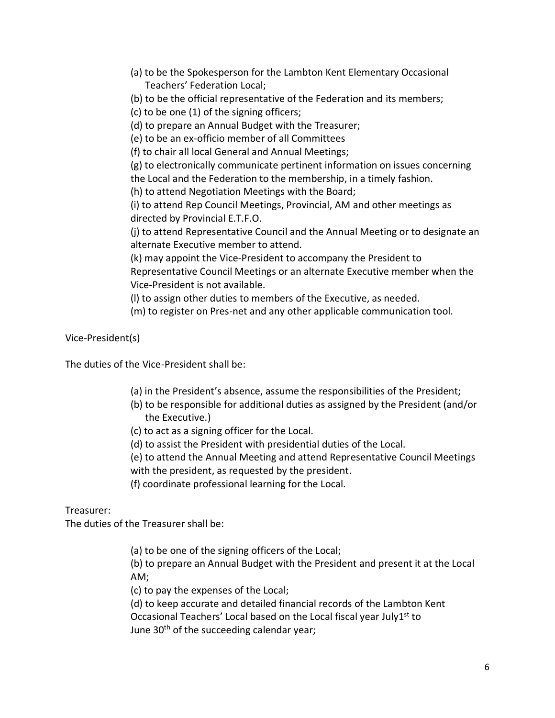- (a) to be the Spokesperson for the Lambton Kent Elementary Occasional Teachers' Federation Local;
- (b) to be the official representative of the Federation and its members;
- (c) to be one (1) of the signing officers;
- (d) to prepare an Annual Budget with the Treasurer;
- (e) to be an ex-officio member of all Committees
- (f) to chair all local General and Annual Meetings;

(g) to electronically communicate pertinent information on issues concerning the Local and the Federation to the membership, in a timely fashion.

(h) to attend Negotiation Meetings with the Board;

(i) to attend Rep Council Meetings, Provincial, AM and other meetings as directed by Provincial E.T.F.O.

(j) to attend Representative Council and the Annual Meeting or to designate an alternate Executive member to attend.

(k) may appoint the Vice-President to accompany the President to Representative Council Meetings or an alternate Executive member when the Vice-President is not available.

(l) to assign other duties to members of the Executive, as needed.

(m) to register on Pres-net and any other applicable communication tool.

Vice-President(s)

The duties of the Vice-President shall be:

- (a) in the President's absence, assume the responsibilities of the President;
- (b) to be responsible for additional duties as assigned by the President (and/or the Executive.)
- (c) to act as a signing officer for the Local.
- (d) to assist the President with presidential duties of the Local.
- (e) to attend the Annual Meeting and attend Representative Council Meetings with the president, as requested by the president.
- (f) coordinate professional learning for the Local.

Treasurer:

The duties of the Treasurer shall be:

(a) to be one of the signing officers of the Local;

(b) to prepare an Annual Budget with the President and present it at the Local AM;

(c) to pay the expenses of the Local;

(d) to keep accurate and detailed financial records of the Lambton Kent Occasional Teachers' Local based on the Local fiscal year July1<sup>st</sup> to June 30<sup>th</sup> of the succeeding calendar year;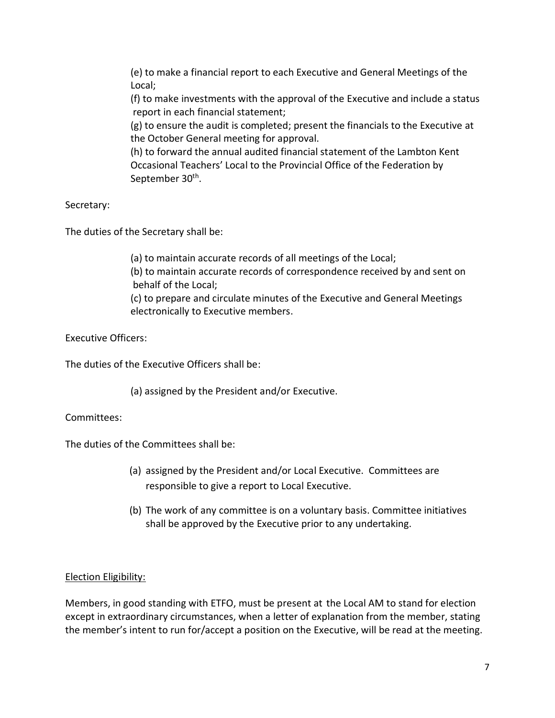(e) to make a financial report to each Executive and General Meetings of the Local;

(f) to make investments with the approval of the Executive and include a status report in each financial statement;

(g) to ensure the audit is completed; present the financials to the Executive at the October General meeting for approval.

(h) to forward the annual audited financial statement of the Lambton Kent Occasional Teachers' Local to the Provincial Office of the Federation by September 30<sup>th</sup>.

Secretary:

The duties of the Secretary shall be:

(a) to maintain accurate records of all meetings of the Local; (b) to maintain accurate records of correspondence received by and sent on behalf of the Local; (c) to prepare and circulate minutes of the Executive and General Meetings electronically to Executive members.

Executive Officers:

The duties of the Executive Officers shall be:

(a) assigned by the President and/or Executive.

Committees:

The duties of the Committees shall be:

- (a) assigned by the President and/or Local Executive. Committees are responsible to give a report to Local Executive.
- (b) The work of any committee is on a voluntary basis. Committee initiatives shall be approved by the Executive prior to any undertaking.

# Election Eligibility:

Members, in good standing with ETFO, must be present at the Local AM to stand for election except in extraordinary circumstances, when a letter of explanation from the member, stating the member's intent to run for/accept a position on the Executive, will be read at the meeting.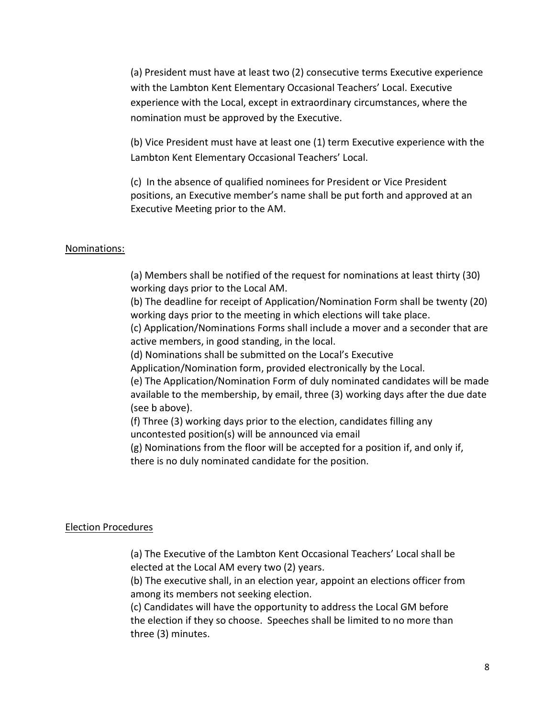(a) President must have at least two (2) consecutive terms Executive experience with the Lambton Kent Elementary Occasional Teachers' Local. Executive experience with the Local, except in extraordinary circumstances, where the nomination must be approved by the Executive.

(b) Vice President must have at least one (1) term Executive experience with the Lambton Kent Elementary Occasional Teachers' Local.

(c) In the absence of qualified nominees for President or Vice President positions, an Executive member's name shall be put forth and approved at an Executive Meeting prior to the AM.

#### Nominations:

(a) Members shall be notified of the request for nominations at least thirty (30) working days prior to the Local AM.

(b) The deadline for receipt of Application/Nomination Form shall be twenty (20) working days prior to the meeting in which elections will take place.

(c) Application/Nominations Forms shall include a mover and a seconder that are active members, in good standing, in the local.

(d) Nominations shall be submitted on the Local's Executive

Application/Nomination form, provided electronically by the Local.

(e) The Application/Nomination Form of duly nominated candidates will be made available to the membership, by email, three (3) working days after the due date (see b above).

(f) Three (3) working days prior to the election, candidates filling any uncontested position(s) will be announced via email

(g) Nominations from the floor will be accepted for a position if, and only if, there is no duly nominated candidate for the position.

#### Election Procedures

(a) The Executive of the Lambton Kent Occasional Teachers' Local shall be elected at the Local AM every two (2) years.

(b) The executive shall, in an election year, appoint an elections officer from among its members not seeking election.

(c) Candidates will have the opportunity to address the Local GM before the election if they so choose. Speeches shall be limited to no more than three (3) minutes.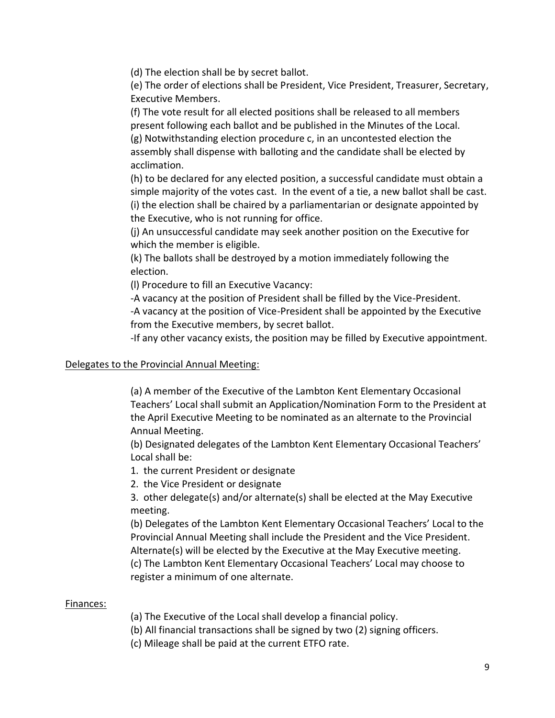(d) The election shall be by secret ballot.

(e) The order of elections shall be President, Vice President, Treasurer, Secretary, Executive Members.

(f) The vote result for all elected positions shall be released to all members present following each ballot and be published in the Minutes of the Local. (g) Notwithstanding election procedure c, in an uncontested election the assembly shall dispense with balloting and the candidate shall be elected by acclimation.

(h) to be declared for any elected position, a successful candidate must obtain a simple majority of the votes cast. In the event of a tie, a new ballot shall be cast. (i) the election shall be chaired by a parliamentarian or designate appointed by the Executive, who is not running for office.

(j) An unsuccessful candidate may seek another position on the Executive for which the member is eligible.

(k) The ballots shall be destroyed by a motion immediately following the election.

(l) Procedure to fill an Executive Vacancy:

-A vacancy at the position of President shall be filled by the Vice-President. -A vacancy at the position of Vice-President shall be appointed by the Executive from the Executive members, by secret ballot.

-If any other vacancy exists, the position may be filled by Executive appointment.

### Delegates to the Provincial Annual Meeting:

(a) A member of the Executive of the Lambton Kent Elementary Occasional Teachers' Local shall submit an Application/Nomination Form to the President at the April Executive Meeting to be nominated as an alternate to the Provincial Annual Meeting.

(b) Designated delegates of the Lambton Kent Elementary Occasional Teachers' Local shall be:

1. the current President or designate

2. the Vice President or designate

3. other delegate(s) and/or alternate(s) shall be elected at the May Executive meeting.

(b) Delegates of the Lambton Kent Elementary Occasional Teachers' Local to the Provincial Annual Meeting shall include the President and the Vice President. Alternate(s) will be elected by the Executive at the May Executive meeting. (c) The Lambton Kent Elementary Occasional Teachers' Local may choose to register a minimum of one alternate.

#### Finances:

(a) The Executive of the Local shall develop a financial policy.

(b) All financial transactions shall be signed by two (2) signing officers.

(c) Mileage shall be paid at the current ETFO rate.